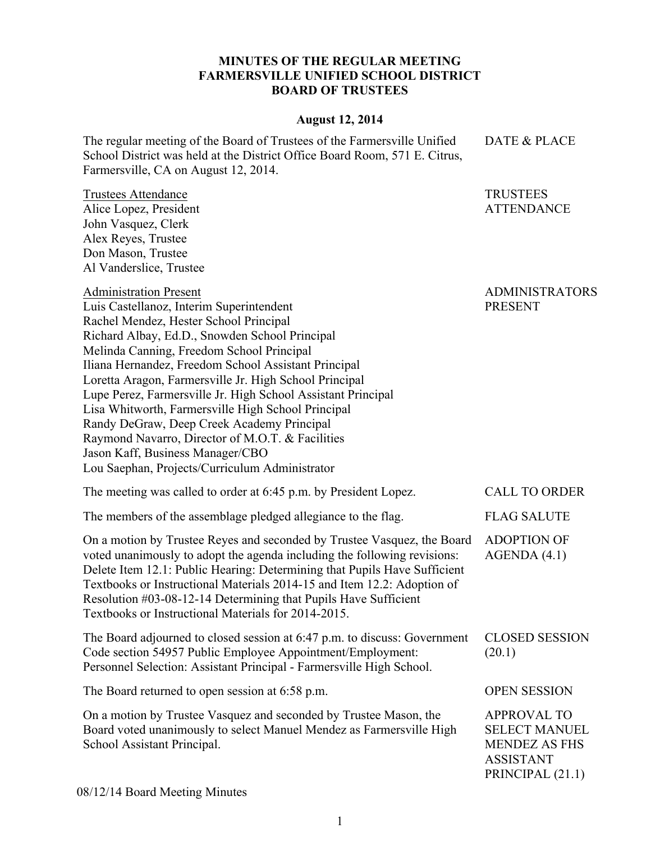## **MINUTES OF THE REGULAR MEETING FARMERSVILLE UNIFIED SCHOOL DISTRICT BOARD OF TRUSTEES**

## **August 12, 2014**

DATE & PLACE

TRUSTEES ATTENDANCE

The regular meeting of the Board of Trustees of the Farmersville Unified

Trustees Attendance Alice Lopez, President John Vasquez, Clerk Alex Reyes, Trustee Don Mason, Trustee

School District was held at the District Office Board Room, 571 E. Citrus, Farmersville, CA on August 12, 2014.

Al Vanderslice, Trustee Administration Present Luis Castellanoz, Interim Superintendent Rachel Mendez, Hester School Principal Richard Albay, Ed.D., Snowden School Principal Melinda Canning, Freedom School Principal Iliana Hernandez, Freedom School Assistant Principal Loretta Aragon, Farmersville Jr. High School Principal Lupe Perez, Farmersville Jr. High School Assistant Principal Lisa Whitworth, Farmersville High School Principal ADMINISTRATORS PRESENT

Randy DeGraw, Deep Creek Academy Principal

Raymond Navarro, Director of M.O.T. & Facilities

Jason Kaff, Business Manager/CBO

Lou Saephan, Projects/Curriculum Administrator

| The meeting was called to order at 6:45 p.m. by President Lopez.                                                                                                                                                                                                                                                                                                                                                                      | <b>CALL TO ORDER</b>                                                                                       |
|---------------------------------------------------------------------------------------------------------------------------------------------------------------------------------------------------------------------------------------------------------------------------------------------------------------------------------------------------------------------------------------------------------------------------------------|------------------------------------------------------------------------------------------------------------|
| The members of the assemblage pledged allegiance to the flag.                                                                                                                                                                                                                                                                                                                                                                         | <b>FLAG SALUTE</b>                                                                                         |
| On a motion by Trustee Reyes and seconded by Trustee Vasquez, the Board<br>voted unanimously to adopt the agenda including the following revisions:<br>Delete Item 12.1: Public Hearing: Determining that Pupils Have Sufficient<br>Textbooks or Instructional Materials 2014-15 and Item 12.2: Adoption of<br>Resolution #03-08-12-14 Determining that Pupils Have Sufficient<br>Textbooks or Instructional Materials for 2014-2015. | <b>ADOPTION OF</b><br>AGENDA(4.1)                                                                          |
| The Board adjourned to closed session at 6:47 p.m. to discuss: Government<br>Code section 54957 Public Employee Appointment/Employment:<br>Personnel Selection: Assistant Principal - Farmersville High School.                                                                                                                                                                                                                       | <b>CLOSED SESSION</b><br>(20.1)                                                                            |
| The Board returned to open session at 6:58 p.m.                                                                                                                                                                                                                                                                                                                                                                                       | <b>OPEN SESSION</b>                                                                                        |
| On a motion by Trustee Vasquez and seconded by Trustee Mason, the<br>Board voted unanimously to select Manuel Mendez as Farmersville High<br>School Assistant Principal.                                                                                                                                                                                                                                                              | <b>APPROVAL TO</b><br><b>SELECT MANUEL</b><br><b>MENDEZ AS FHS</b><br><b>ASSISTANT</b><br>PRINCIPAL (21.1) |
| $0/12/14$ Decay Meeting Minutes                                                                                                                                                                                                                                                                                                                                                                                                       |                                                                                                            |

08/12/14 Board Meeting Minutes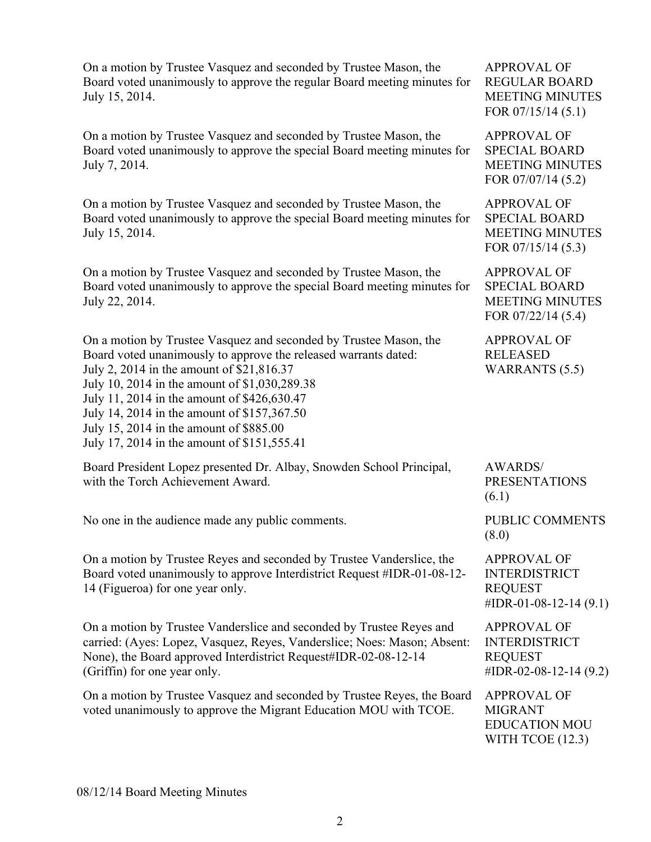On a motion by Trustee Vasquez and seconded by Trustee Mason, the Board voted unanimously to approve the regular Board meeting minutes for July 15, 2014.

On a motion by Trustee Vasquez and seconded by Trustee Mason, the Board voted unanimously to approve the special Board meeting minutes for July 7, 2014.

On a motion by Trustee Vasquez and seconded by Trustee Mason, the Board voted unanimously to approve the special Board meeting minutes for July 15, 2014.

On a motion by Trustee Vasquez and seconded by Trustee Mason, the Board voted unanimously to approve the special Board meeting minutes for July 22, 2014.

On a motion by Trustee Vasquez and seconded by Trustee Mason, the Board voted unanimously to approve the released warrants dated: July 2, 2014 in the amount of \$21,816.37 July 10, 2014 in the amount of \$1,030,289.38 July 11, 2014 in the amount of \$426,630.47 July 14, 2014 in the amount of \$157,367.50 July 15, 2014 in the amount of \$885.00

July 17, 2014 in the amount of \$151,555.41

| Board President Lopez presented Dr. Albay, Snowden School Principal,<br>with the Torch Achievement Award.                                                                                                                                           | <b>AWARDS</b> /<br><b>PRESENTATIONS</b><br>(6.1)                                         |
|-----------------------------------------------------------------------------------------------------------------------------------------------------------------------------------------------------------------------------------------------------|------------------------------------------------------------------------------------------|
| No one in the audience made any public comments.                                                                                                                                                                                                    | PUBLIC COMMENTS<br>(8.0)                                                                 |
| On a motion by Trustee Reyes and seconded by Trustee Vanderslice, the<br>Board voted unanimously to approve Interdistrict Request #IDR-01-08-12-<br>14 (Figueroa) for one year only.                                                                | <b>APPROVAL OF</b><br><b>INTERDISTRICT</b><br><b>REQUEST</b><br>#IDR-01-08-12-14 $(9.1)$ |
| On a motion by Trustee Vanderslice and seconded by Trustee Reyes and<br>carried: (Ayes: Lopez, Vasquez, Reyes, Vanderslice; Noes: Mason; Absent:<br>None), the Board approved Interdistrict Request#IDR-02-08-12-14<br>(Griffin) for one year only. | <b>APPROVAL OF</b><br><b>INTERDISTRICT</b><br><b>REQUEST</b><br>#IDR-02-08-12-14 $(9.2)$ |

On a motion by Trustee Vasquez and seconded by Trustee Reyes, the Board voted unanimously to approve the Migrant Education MOU with TCOE. APPROVAL OF MIGRANT EDUCATION MOU

APPROVAL OF REGULAR BOARD MEETING MINUTES FOR 07/15/14 (5.1)

APPROVAL OF SPECIAL BOARD MEETING MINUTES FOR 07/07/14 (5.2)

APPROVAL OF SPECIAL BOARD MEETING MINUTES FOR 07/15/14 (5.3)

APPROVAL OF SPECIAL BOARD MEETING MINUTES FOR 07/22/14 (5.4)

APPROVAL OF RELEASED WARRANTS (5.5)

WITH TCOE (12.3)

08/12/14 Board Meeting Minutes

2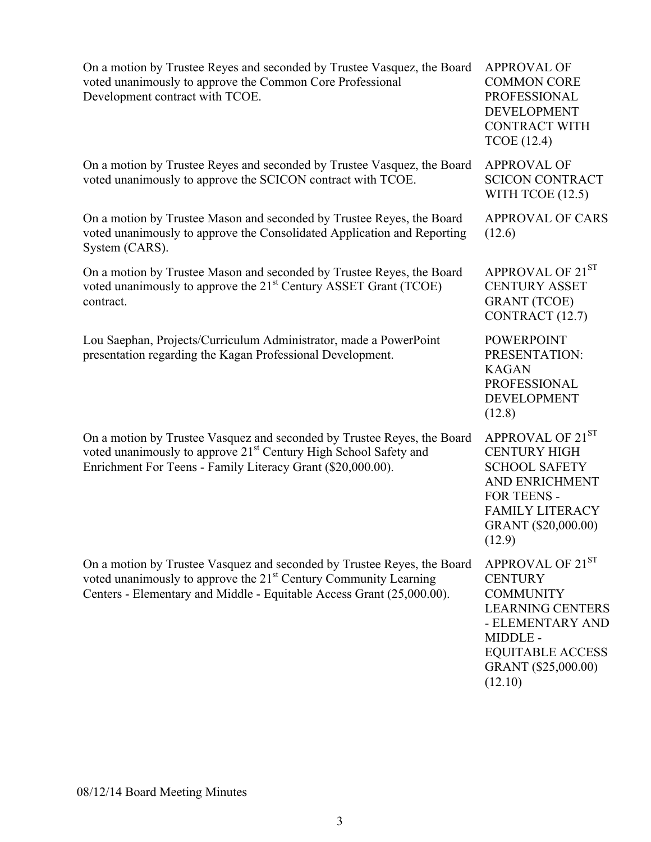| On a motion by Trustee Reyes and seconded by Trustee Vasquez, the Board<br>voted unanimously to approve the Common Core Professional<br>Development contract with TCOE.                                                          | <b>APPROVAL OF</b><br><b>COMMON CORE</b><br><b>PROFESSIONAL</b><br><b>DEVELOPMENT</b><br><b>CONTRACT WITH</b><br><b>TCOE</b> (12.4)                                            |
|----------------------------------------------------------------------------------------------------------------------------------------------------------------------------------------------------------------------------------|--------------------------------------------------------------------------------------------------------------------------------------------------------------------------------|
| On a motion by Trustee Reyes and seconded by Trustee Vasquez, the Board<br>voted unanimously to approve the SCICON contract with TCOE.                                                                                           | <b>APPROVAL OF</b><br><b>SCICON CONTRACT</b><br>WITH TCOE (12.5)                                                                                                               |
| On a motion by Trustee Mason and seconded by Trustee Reyes, the Board<br>voted unanimously to approve the Consolidated Application and Reporting<br>System (CARS).                                                               | <b>APPROVAL OF CARS</b><br>(12.6)                                                                                                                                              |
| On a motion by Trustee Mason and seconded by Trustee Reyes, the Board<br>voted unanimously to approve the 21 <sup>st</sup> Century ASSET Grant (TCOE)<br>contract.                                                               | APPROVAL OF 21ST<br><b>CENTURY ASSET</b><br><b>GRANT</b> (TCOE)<br>CONTRACT (12.7)                                                                                             |
| Lou Saephan, Projects/Curriculum Administrator, made a PowerPoint<br>presentation regarding the Kagan Professional Development.                                                                                                  | <b>POWERPOINT</b><br>PRESENTATION:<br><b>KAGAN</b><br><b>PROFESSIONAL</b><br><b>DEVELOPMENT</b><br>(12.8)                                                                      |
| On a motion by Trustee Vasquez and seconded by Trustee Reyes, the Board<br>voted unanimously to approve 21 <sup>st</sup> Century High School Safety and<br>Enrichment For Teens - Family Literacy Grant (\$20,000.00).           | APPROVAL OF 21ST<br><b>CENTURY HIGH</b><br><b>SCHOOL SAFETY</b><br>AND ENRICHMENT<br>FOR TEENS -<br><b>FAMILY LITERACY</b><br>GRANT (\$20,000.00)<br>(12.9)                    |
| On a motion by Trustee Vasquez and seconded by Trustee Reyes, the Board<br>voted unanimously to approve the 21 <sup>st</sup> Century Community Learning<br>Centers - Elementary and Middle - Equitable Access Grant (25,000.00). | APPROVAL OF 21ST<br><b>CENTURY</b><br><b>COMMUNITY</b><br><b>LEARNING CENTERS</b><br>- ELEMENTARY AND<br>MIDDLE -<br><b>EQUITABLE ACCESS</b><br>GRANT (\$25,000.00)<br>(12.10) |

08/12/14 Board Meeting Minutes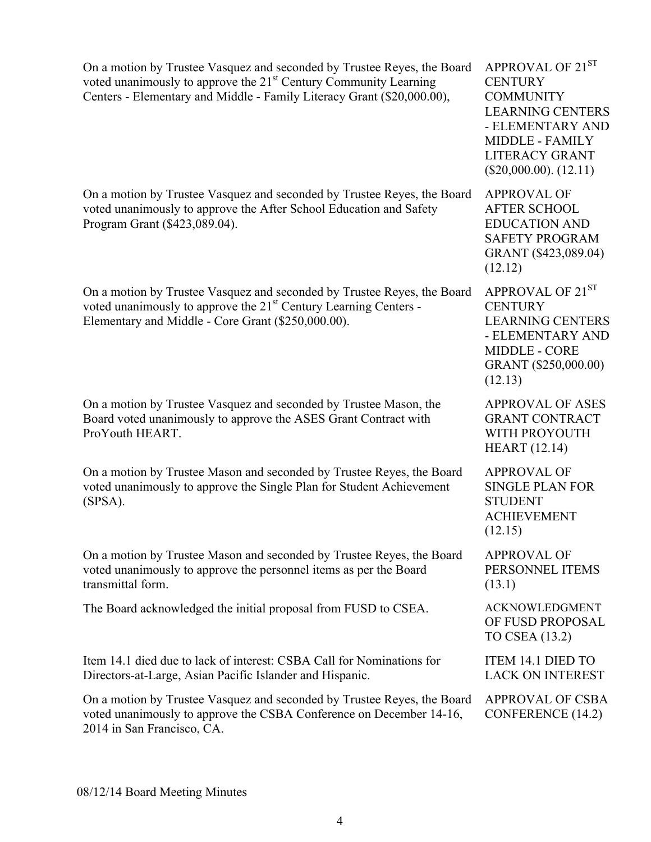| On a motion by Trustee Vasquez and seconded by Trustee Reyes, the Board<br>voted unanimously to approve the 21 <sup>st</sup> Century Community Learning<br>Centers - Elementary and Middle - Family Literacy Grant (\$20,000.00), | APPROVAL OF 21ST<br><b>CENTURY</b><br><b>COMMUNITY</b><br><b>LEARNING CENTERS</b><br>- ELEMENTARY AND<br><b>MIDDLE - FAMILY</b><br><b>LITERACY GRANT</b><br>$(\$20,000.00)$ . $(12.11)$ |
|-----------------------------------------------------------------------------------------------------------------------------------------------------------------------------------------------------------------------------------|-----------------------------------------------------------------------------------------------------------------------------------------------------------------------------------------|
| On a motion by Trustee Vasquez and seconded by Trustee Reyes, the Board<br>voted unanimously to approve the After School Education and Safety<br>Program Grant (\$423,089.04).                                                    | <b>APPROVAL OF</b><br><b>AFTER SCHOOL</b><br><b>EDUCATION AND</b><br><b>SAFETY PROGRAM</b><br>GRANT (\$423,089.04)<br>(12.12)                                                           |
| On a motion by Trustee Vasquez and seconded by Trustee Reyes, the Board<br>voted unanimously to approve the 21 <sup>st</sup> Century Learning Centers -<br>Elementary and Middle - Core Grant (\$250,000.00).                     | APPROVAL OF 21ST<br><b>CENTURY</b><br><b>LEARNING CENTERS</b><br>- ELEMENTARY AND<br><b>MIDDLE - CORE</b><br>GRANT (\$250,000.00)<br>(12.13)                                            |
| On a motion by Trustee Vasquez and seconded by Trustee Mason, the<br>Board voted unanimously to approve the ASES Grant Contract with<br>ProYouth HEART.                                                                           | <b>APPROVAL OF ASES</b><br><b>GRANT CONTRACT</b><br>WITH PROYOUTH<br><b>HEART</b> (12.14)                                                                                               |
| On a motion by Trustee Mason and seconded by Trustee Reyes, the Board<br>voted unanimously to approve the Single Plan for Student Achievement<br>$(SPSA)$ .                                                                       | <b>APPROVAL OF</b><br><b>SINGLE PLAN FOR</b><br><b>STUDENT</b><br><b>ACHIEVEMENT</b><br>(12.15)                                                                                         |
| On a motion by Trustee Mason and seconded by Trustee Reyes, the Board<br>voted unanimously to approve the personnel items as per the Board<br>transmittal form.                                                                   | <b>APPROVAL OF</b><br>PERSONNEL ITEMS<br>(13.1)                                                                                                                                         |
| The Board acknowledged the initial proposal from FUSD to CSEA.                                                                                                                                                                    | <b>ACKNOWLEDGMENT</b><br>OF FUSD PROPOSAL<br>TO CSEA (13.2)                                                                                                                             |
| Item 14.1 died due to lack of interest: CSBA Call for Nominations for<br>Directors-at-Large, Asian Pacific Islander and Hispanic.                                                                                                 | <b>ITEM 14.1 DIED TO</b><br><b>LACK ON INTEREST</b>                                                                                                                                     |
| On a motion by Trustee Vasquez and seconded by Trustee Reyes, the Board<br>voted unanimously to approve the CSBA Conference on December 14-16,<br>2014 in San Francisco, CA.                                                      | <b>APPROVAL OF CSBA</b><br><b>CONFERENCE</b> (14.2)                                                                                                                                     |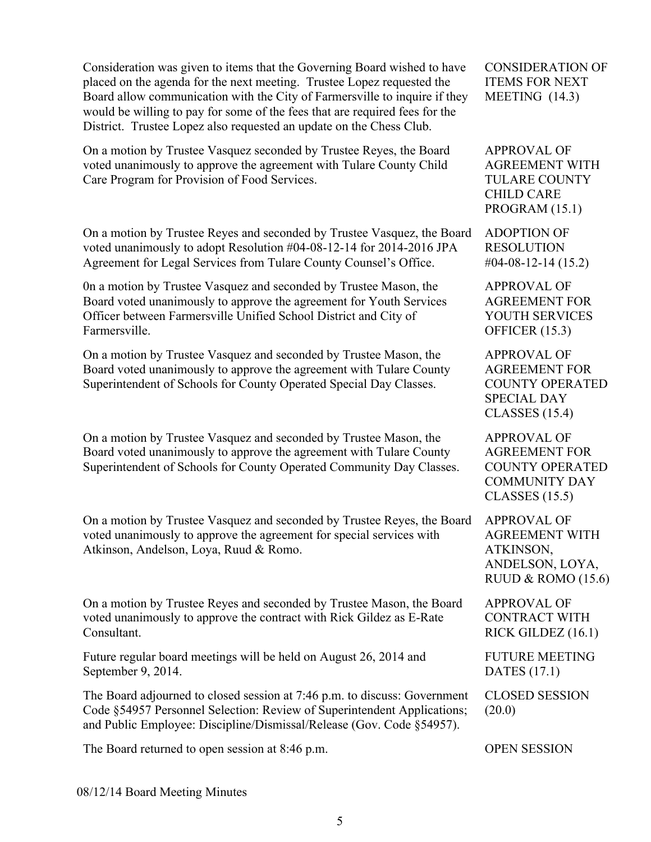Consideration was given to items that the Governing Board wished to have placed on the agenda for the next meeting. Trustee Lopez requested the Board allow communication with the City of Farmersville to inquire if they would be willing to pay for some of the fees that are required fees for the District. Trustee Lopez also requested an update on the Chess Club.

On a motion by Trustee Vasquez seconded by Trustee Reyes, the Board voted unanimously to approve the agreement with Tulare County Child Care Program for Provision of Food Services.

On a motion by Trustee Reyes and seconded by Trustee Vasquez, the Board voted unanimously to adopt Resolution #04-08-12-14 for 2014-2016 JPA Agreement for Legal Services from Tulare County Counsel's Office.

0n a motion by Trustee Vasquez and seconded by Trustee Mason, the Board voted unanimously to approve the agreement for Youth Services Officer between Farmersville Unified School District and City of Farmersville.

On a motion by Trustee Vasquez and seconded by Trustee Mason, the Board voted unanimously to approve the agreement with Tulare County Superintendent of Schools for County Operated Special Day Classes.

On a motion by Trustee Vasquez and seconded by Trustee Mason, the Board voted unanimously to approve the agreement with Tulare County Superintendent of Schools for County Operated Community Day Classes.

On a motion by Trustee Vasquez and seconded by Trustee Reyes, the Board voted unanimously to approve the agreement for special services with Atkinson, Andelson, Loya, Ruud & Romo.

On a motion by Trustee Reyes and seconded by Trustee Mason, the Board voted unanimously to approve the contract with Rick Gildez as E-Rate Consultant.

Future regular board meetings will be held on August 26, 2014 and September 9, 2014.

The Board adjourned to closed session at 7:46 p.m. to discuss: Government Code §54957 Personnel Selection: Review of Superintendent Applications; and Public Employee: Discipline/Dismissal/Release (Gov. Code §54957). (20.0)

The Board returned to open session at 8:46 p.m. OPEN SESSION

CONSIDERATION OF ITEMS FOR NEXT MEETING (14.3)

APPROVAL OF AGREEMENT WITH TULARE COUNTY CHILD CARE PROGRAM (15.1)

ADOPTION OF RESOLUTION #04-08-12-14 (15.2)

APPROVAL OF AGREEMENT FOR YOUTH SERVICES OFFICER (15.3)

APPROVAL OF AGREEMENT FOR COUNTY OPERATED SPECIAL DAY CLASSES (15.4)

APPROVAL OF AGREEMENT FOR COUNTY OPERATED COMMUNITY DAY CLASSES (15.5)

APPROVAL OF AGREEMENT WITH ATKINSON, ANDELSON, LOYA, RUUD & ROMO (15.6)

APPROVAL OF CONTRACT WITH RICK GILDEZ (16.1)

FUTURE MEETING DATES (17.1)

CLOSED SESSION